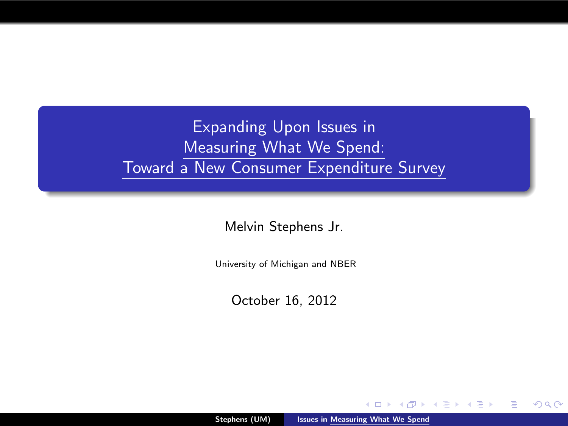Expanding Upon Issues in Measuring What We Spend: Toward a New Consumer Expenditure Survey

Melvin Stephens Jr.

University of Michigan and NBER

October 16, 2012

<span id="page-0-0"></span> $2Q$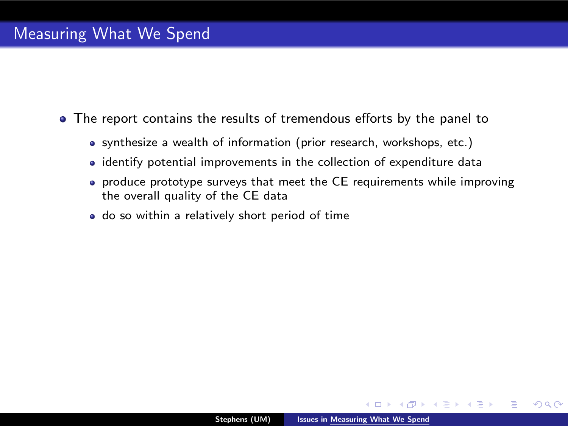- The report contains the results of tremendous efforts by the panel to
	- synthesize a wealth of information (prior research, workshops, etc.)
	- identify potential improvements in the collection of expenditure data
	- produce prototype surveys that meet the CE requirements while improving the overall quality of the CE data
	- do so within a relatively short period of time

ヨコ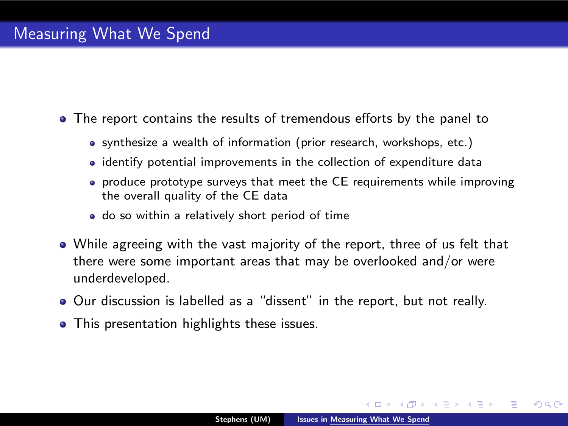- The report contains the results of tremendous efforts by the panel to
	- synthesize a wealth of information (prior research, workshops, etc.)
	- identify potential improvements in the collection of expenditure data
	- produce prototype surveys that meet the CE requirements while improving the overall quality of the CE data
	- do so within a relatively short period of time
- While agreeing with the vast majority of the report, three of us felt that there were some important areas that may be overlooked and/or were underdeveloped.
- Our discussion is labelled as a "dissent" in the report, but not really.
- This presentation highlights these issues.

不是 下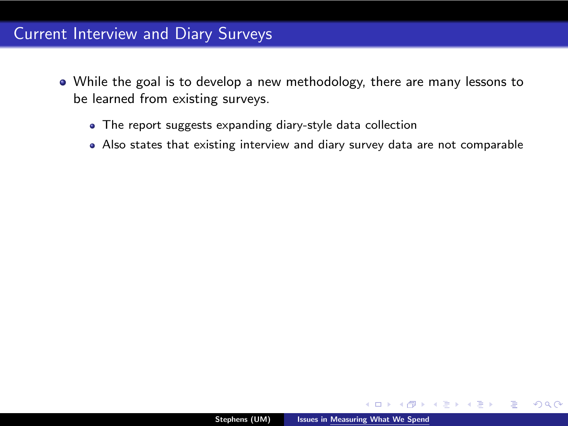- While the goal is to develop a new methodology, there are many lessons to be learned from existing surveys.
	- The report suggests expanding diary-style data collection
	- Also states that existing interview and diary survey data are not comparable

 $2Q$ 

∍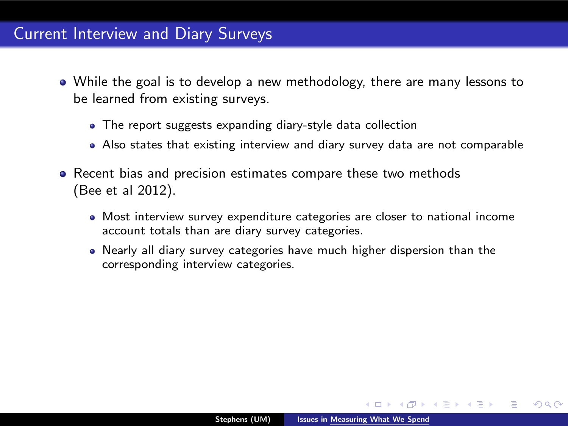- While the goal is to develop a new methodology, there are many lessons to be learned from existing surveys.
	- The report suggests expanding diary-style data collection
	- Also states that existing interview and diary survey data are not comparable
- Recent bias and precision estimates compare these two methods (Bee et al 2012).
	- Most interview survey expenditure categories are closer to national income account totals than are diary survey categories.
	- Nearly all diary survey categories have much higher dispersion than the corresponding interview categories.

 $\rightarrow$   $\equiv$   $\rightarrow$ 

 $\Omega$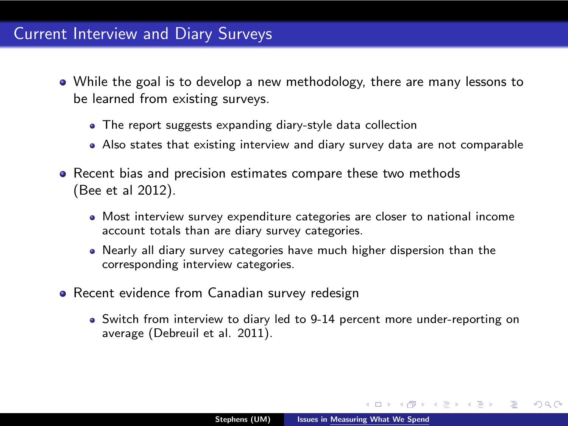- While the goal is to develop a new methodology, there are many lessons to be learned from existing surveys.
	- The report suggests expanding diary-style data collection
	- Also states that existing interview and diary survey data are not comparable
- Recent bias and precision estimates compare these two methods (Bee et al 2012).
	- Most interview survey expenditure categories are closer to national income account totals than are diary survey categories.
	- Nearly all diary survey categories have much higher dispersion than the corresponding interview categories.
- Recent evidence from Canadian survey redesign
	- Switch from interview to diary led to 9-14 percent more under-reporting on average (Debreuil et al. 2011).

一4 語 ト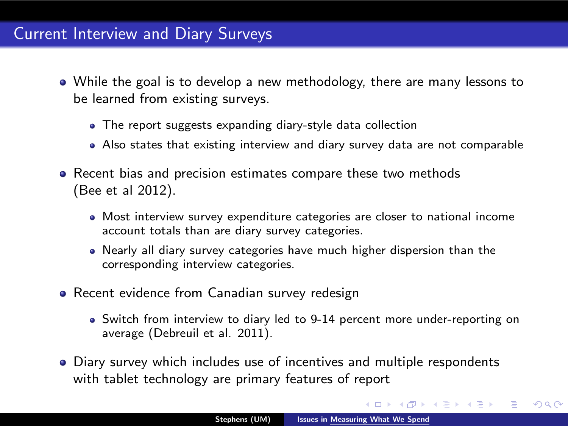- While the goal is to develop a new methodology, there are many lessons to be learned from existing surveys.
	- The report suggests expanding diary-style data collection
	- Also states that existing interview and diary survey data are not comparable
- Recent bias and precision estimates compare these two methods (Bee et al 2012).
	- Most interview survey expenditure categories are closer to national income account totals than are diary survey categories.
	- Nearly all diary survey categories have much higher dispersion than the corresponding interview categories.
- Recent evidence from Canadian survey redesign
	- Switch from interview to diary led to 9-14 percent more under-reporting on average (Debreuil et al. 2011).
- Diary survey which includes use of incentives and multiple respondents with tablet technology are primary features of report

 $\rightarrow$   $\equiv$   $\rightarrow$ 

ミッ

 $2Q$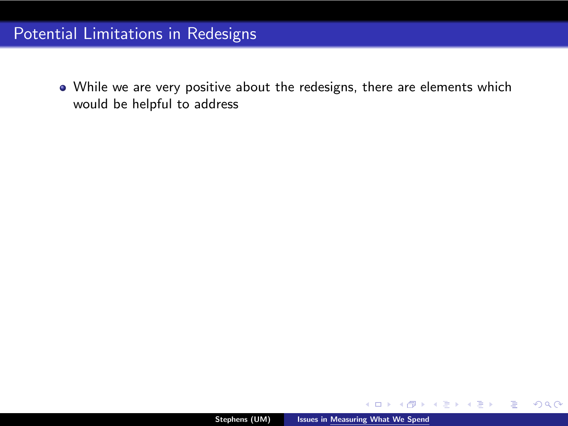While we are very positive about the redesigns, there are elements which would be helpful to address

 $-10.5$ 

ミメ メミメ

G

 $299$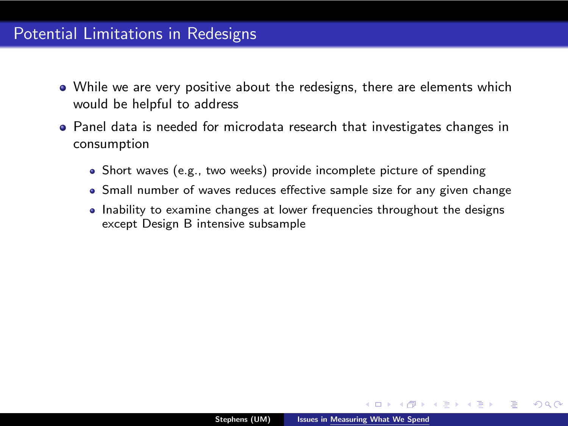#### Potential Limitations in Redesigns

- While we are very positive about the redesigns, there are elements which would be helpful to address
- Panel data is needed for microdata research that investigates changes in consumption
	- Short waves (e.g., two weeks) provide incomplete picture of spending
	- Small number of waves reduces effective sample size for any given change
	- Inability to examine changes at lower frequencies throughout the designs except Design B intensive subsample

モミト

 $\Omega$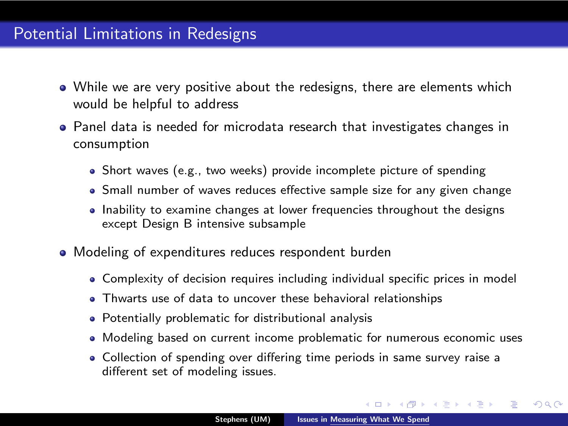## Potential Limitations in Redesigns

- While we are very positive about the redesigns, there are elements which would be helpful to address
- Panel data is needed for microdata research that investigates changes in consumption
	- Short waves (e.g., two weeks) provide incomplete picture of spending
	- Small number of waves reduces effective sample size for any given change
	- Inability to examine changes at lower frequencies throughout the designs except Design B intensive subsample
- Modeling of expenditures reduces respondent burden
	- Complexity of decision requires including individual specific prices in model
	- Thwarts use of data to uncover these behavioral relationships
	- Potentially problematic for distributional analysis
	- Modeling based on current income problematic for numerous economic uses
	- Collection of spending over differing time periods in same survey raise a different set of modeling issues.

4 日本 4 日本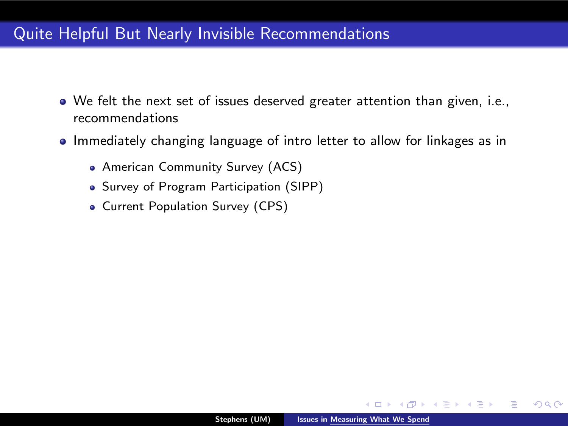## Quite Helpful But Nearly Invisible Recommendations

- We felt the next set of issues deserved greater attention than given, i.e., recommendations
- Immediately changing language of intro letter to allow for linkages as in
	- American Community Survey (ACS)
	- Survey of Program Participation (SIPP)
	- Current Population Survey (CPS)

 $2Q$ 

ス ヨ ト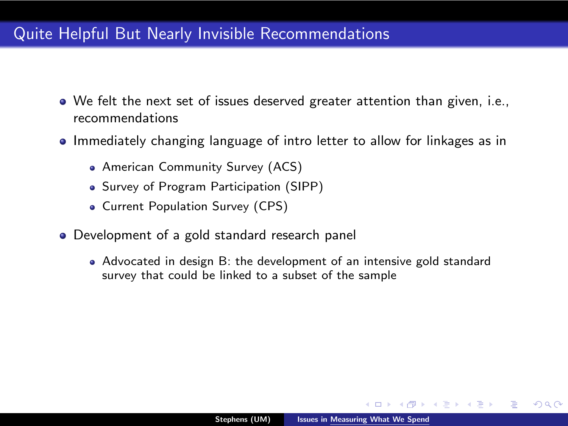## Quite Helpful But Nearly Invisible Recommendations

- We felt the next set of issues deserved greater attention than given, i.e., recommendations
- Immediately changing language of intro letter to allow for linkages as in
	- American Community Survey (ACS)
	- Survey of Program Participation (SIPP)
	- Current Population Survey (CPS)
- Development of a gold standard research panel
	- Advocated in design B: the development of an intensive gold standard survey that could be linked to a subset of the sample

不是 下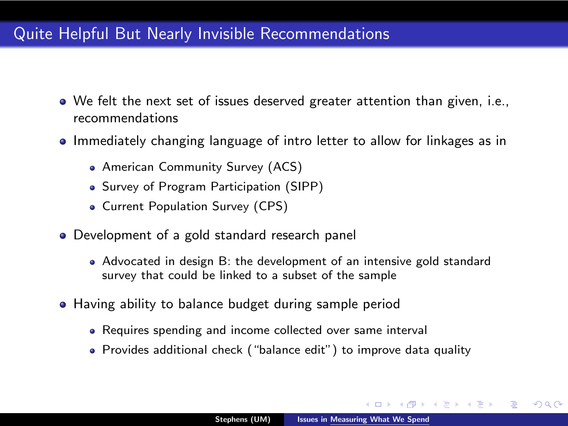## Quite Helpful But Nearly Invisible Recommendations

- We felt the next set of issues deserved greater attention than given, i.e., recommendations
- Immediately changing language of intro letter to allow for linkages as in
	- American Community Survey (ACS)
	- Survey of Program Participation (SIPP)
	- Current Population Survey (CPS)
- Development of a gold standard research panel
	- Advocated in design B: the development of an intensive gold standard survey that could be linked to a subset of the sample
- Having ability to balance budget during sample period
	- Requires spending and income collected over same interval
	- Provides additional check ("balance edit") to improve data quality

一 4 (三) ト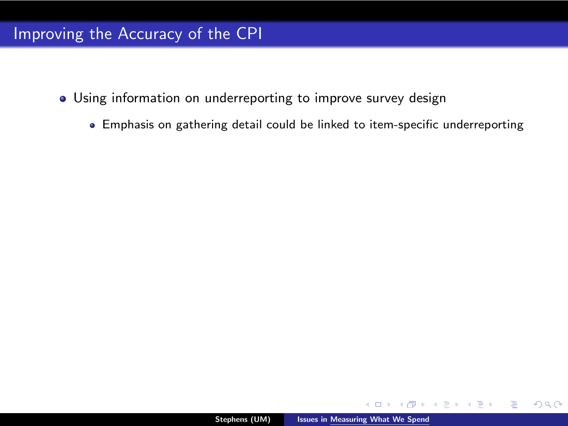- Using information on underreporting to improve survey design
	- Emphasis on gathering detail could be linked to item-specific underreporting

 $\leftarrow$ 

ミメ メミメ

G

 $2Q$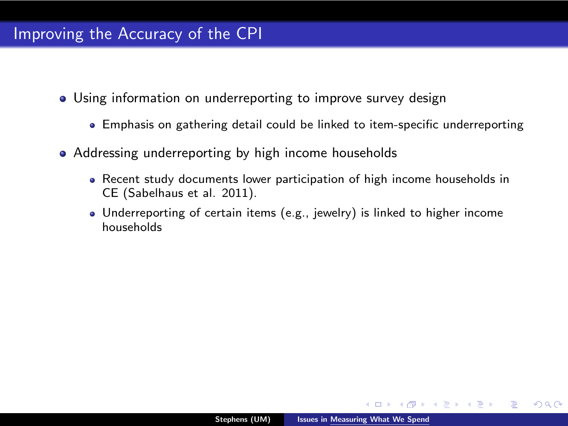- Using information on underreporting to improve survey design
	- Emphasis on gathering detail could be linked to item-specific underreporting
- Addressing underreporting by high income households
	- Recent study documents lower participation of high income households in CE (Sabelhaus et al. 2011).
	- Underreporting of certain items (e.g., jewelry) is linked to higher income households

 $-10.5$ 

ぼき メラト

 $2Q$ 

重